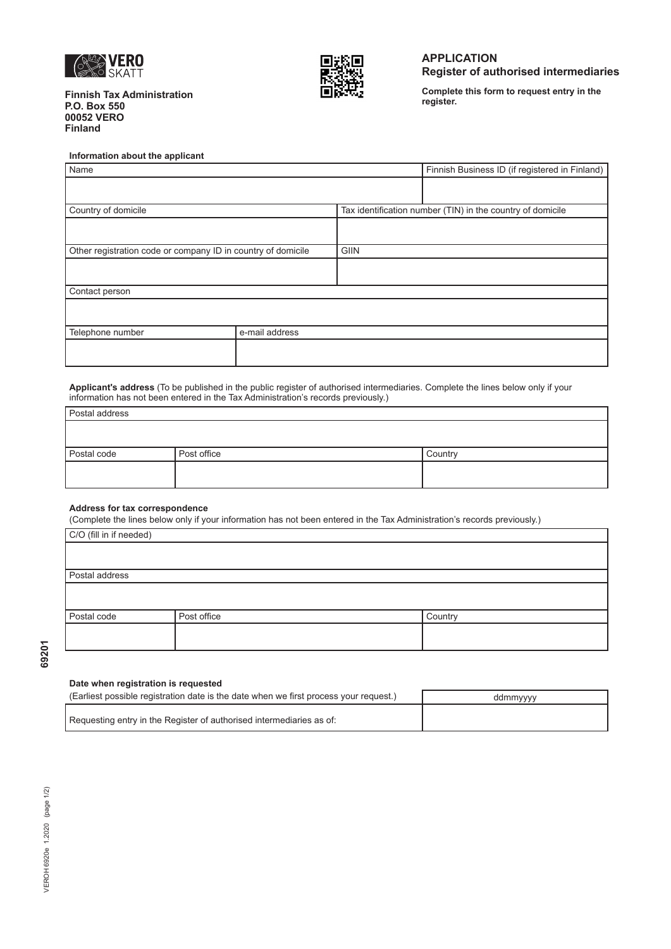

**Finnish Tax Administration P.O. Box 550 00052 VERO Finland** 



# **APPLICATION Register of authorised intermediaries**

**Complete this form to request entry in the**

## **Information about the applicant**

| Name                                                         |                | Finnish Business ID (if registered in Finland)             |  |
|--------------------------------------------------------------|----------------|------------------------------------------------------------|--|
|                                                              |                |                                                            |  |
| Country of domicile                                          |                | Tax identification number (TIN) in the country of domicile |  |
|                                                              |                |                                                            |  |
| Other registration code or company ID in country of domicile |                | GIIN                                                       |  |
|                                                              |                |                                                            |  |
| Contact person                                               |                |                                                            |  |
|                                                              |                |                                                            |  |
| Telephone number                                             | e-mail address |                                                            |  |
|                                                              |                |                                                            |  |

**Applicant's address** (To be published in the public register of authorised intermediaries. Complete the lines below only if your information has not been entered in the Tax Administration's records previously.)

| Postal address |             |         |
|----------------|-------------|---------|
|                |             |         |
|                |             |         |
| Postal code    | Post office | Country |
|                |             |         |
|                |             |         |

### **Address for tax correspondence**

(Complete the lines below only if your information has not been entered in the Tax Administration's records previously.)

| C/O (fill in if needed) |                |         |  |  |
|-------------------------|----------------|---------|--|--|
|                         |                |         |  |  |
|                         |                |         |  |  |
|                         | Postal address |         |  |  |
|                         |                |         |  |  |
|                         |                |         |  |  |
| Postal code             | Post office    | Country |  |  |
|                         |                |         |  |  |
|                         |                |         |  |  |
|                         |                |         |  |  |

69201

# **Date when registration is requested**

| (Earliest possible registration date is the date when we first process your request.) | ddmmyyyy |
|---------------------------------------------------------------------------------------|----------|
| Requesting entry in the Register of authorised intermediaries as of:                  |          |